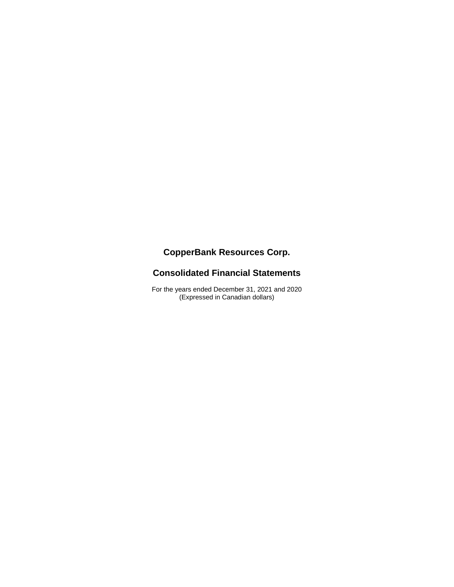# **CopperBank Resources Corp.**

# **Consolidated Financial Statements**

For the years ended December 31, 2021 and 2020 (Expressed in Canadian dollars)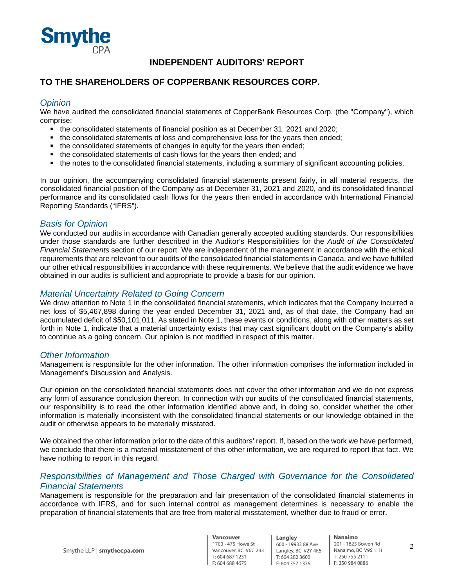

# **INDEPENDENT AUDITORS' REPORT**

# **TO THE SHAREHOLDERS OF COPPERBANK RESOURCES CORP.**

## *Opinion*

We have audited the consolidated financial statements of CopperBank Resources Corp. (the "Company"), which comprise:

- the consolidated statements of financial position as at December 31, 2021 and 2020;
- the consolidated statements of loss and comprehensive loss for the years then ended;
- the consolidated statements of changes in equity for the years then ended;
- the consolidated statements of cash flows for the years then ended; and
- the notes to the consolidated financial statements, including a summary of significant accounting policies.

In our opinion, the accompanying consolidated financial statements present fairly, in all material respects, the consolidated financial position of the Company as at December 31, 2021 and 2020, and its consolidated financial performance and its consolidated cash flows for the years then ended in accordance with International Financial Reporting Standards ("IFRS").

## *Basis for Opinion*

We conducted our audits in accordance with Canadian generally accepted auditing standards. Our responsibilities under those standards are further described in the Auditor's Responsibilities for the *Audit of the Consolidated Financial Statements* section of our report. We are independent of the management in accordance with the ethical requirements that are relevant to our audits of the consolidated financial statements in Canada, and we have fulfilled our other ethical responsibilities in accordance with these requirements. We believe that the audit evidence we have obtained in our audits is sufficient and appropriate to provide a basis for our opinion.

## *Material Uncertainty Related to Going Concern*

We draw attention to Note 1 in the consolidated financial statements, which indicates that the Company incurred a net loss of \$5,467,898 during the year ended December 31, 2021 and, as of that date, the Company had an accumulated deficit of \$50,101,011. As stated in Note 1, these events or conditions, along with other matters as set forth in Note 1, indicate that a material uncertainty exists that may cast significant doubt on the Company's ability to continue as a going concern. Our opinion is not modified in respect of this matter.

## *Other Information*

Management is responsible for the other information. The other information comprises the information included in Management's Discussion and Analysis.

Our opinion on the consolidated financial statements does not cover the other information and we do not express any form of assurance conclusion thereon. In connection with our audits of the consolidated financial statements, our responsibility is to read the other information identified above and, in doing so, consider whether the other information is materially inconsistent with the consolidated financial statements or our knowledge obtained in the audit or otherwise appears to be materially misstated.

We obtained the other information prior to the date of this auditors' report. If, based on the work we have performed, we conclude that there is a material misstatement of this other information, we are required to report that fact. We have nothing to report in this regard.

## *Responsibilities of Management and Those Charged with Governance for the Consolidated Financial Statements*

Management is responsible for the preparation and fair presentation of the consolidated financial statements in accordance with IFRS, and for such internal control as management determines is necessary to enable the preparation of financial statements that are free from material misstatement, whether due to fraud or error.

Smythe LLP | smythecpa.com

Vancouver 1700 - 475 Howe St Vancouver, BC V6C 2B3 T: 604 687 1231  $F: 6046884675$ 

Langley 600 - 19933 88 Ave Langley, BC V2Y 4K5 T: 604 282 3600 F: 604 357 1376

Nanaimo 201 - 1825 Bowen Rd Nanaimo, BC V9S 1H1 T: 250 755 2111 F: 250 984 0886

2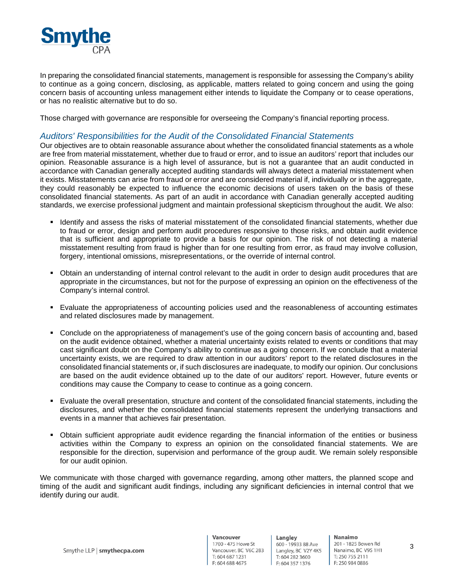

In preparing the consolidated financial statements, management is responsible for assessing the Company's ability to continue as a going concern, disclosing, as applicable, matters related to going concern and using the going concern basis of accounting unless management either intends to liquidate the Company or to cease operations, or has no realistic alternative but to do so.

Those charged with governance are responsible for overseeing the Company's financial reporting process.

## *Auditors' Responsibilities for the Audit of the Consolidated Financial Statements*

Our objectives are to obtain reasonable assurance about whether the consolidated financial statements as a whole are free from material misstatement, whether due to fraud or error, and to issue an auditors' report that includes our opinion. Reasonable assurance is a high level of assurance, but is not a guarantee that an audit conducted in accordance with Canadian generally accepted auditing standards will always detect a material misstatement when it exists. Misstatements can arise from fraud or error and are considered material if, individually or in the aggregate, they could reasonably be expected to influence the economic decisions of users taken on the basis of these consolidated financial statements. As part of an audit in accordance with Canadian generally accepted auditing standards, we exercise professional judgment and maintain professional skepticism throughout the audit. We also:

- Identify and assess the risks of material misstatement of the consolidated financial statements, whether due to fraud or error, design and perform audit procedures responsive to those risks, and obtain audit evidence that is sufficient and appropriate to provide a basis for our opinion. The risk of not detecting a material misstatement resulting from fraud is higher than for one resulting from error, as fraud may involve collusion, forgery, intentional omissions, misrepresentations, or the override of internal control.
- Obtain an understanding of internal control relevant to the audit in order to design audit procedures that are appropriate in the circumstances, but not for the purpose of expressing an opinion on the effectiveness of the Company's internal control.
- Evaluate the appropriateness of accounting policies used and the reasonableness of accounting estimates and related disclosures made by management.
- Conclude on the appropriateness of management's use of the going concern basis of accounting and, based on the audit evidence obtained, whether a material uncertainty exists related to events or conditions that may cast significant doubt on the Company's ability to continue as a going concern. If we conclude that a material uncertainty exists, we are required to draw attention in our auditors' report to the related disclosures in the consolidated financial statements or, if such disclosures are inadequate, to modify our opinion. Our conclusions are based on the audit evidence obtained up to the date of our auditors' report. However, future events or conditions may cause the Company to cease to continue as a going concern.
- Evaluate the overall presentation, structure and content of the consolidated financial statements, including the disclosures, and whether the consolidated financial statements represent the underlying transactions and events in a manner that achieves fair presentation.
- Obtain sufficient appropriate audit evidence regarding the financial information of the entities or business activities within the Company to express an opinion on the consolidated financial statements. We are responsible for the direction, supervision and performance of the group audit. We remain solely responsible for our audit opinion.

We communicate with those charged with governance regarding, among other matters, the planned scope and timing of the audit and significant audit findings, including any significant deficiencies in internal control that we identify during our audit.

Langley 600 - 19933 88 Ave Langley, BC V2Y 4K5 T: 604 282 3600 F: 604 357 1376

Nanaimo 201 - 1825 Bowen Rd Nanaimo, BC V9S 1H1 T: 250 755 2111 F: 250 984 0886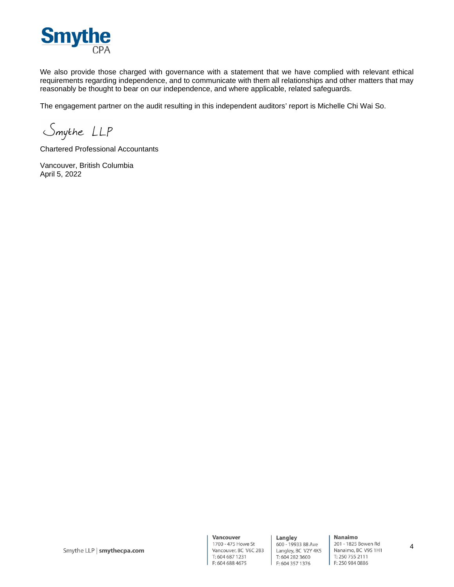

We also provide those charged with governance with a statement that we have complied with relevant ethical requirements regarding independence, and to communicate with them all relationships and other matters that may reasonably be thought to bear on our independence, and where applicable, related safeguards.

The engagement partner on the audit resulting in this independent auditors' report is Michelle Chi Wai So.

Smythe LLP

Chartered Professional Accountants

Vancouver, British Columbia April 5, 2022

Langley 600 - 19933 88 Ave Langley, BC V2Y 4K5 T: 604 282 3600 F: 604 357 1376

Nanaimo 201 - 1825 Bowen Rd Nanaimo, BC V9S 1H1 T: 250 755 2111 F: 250 984 0886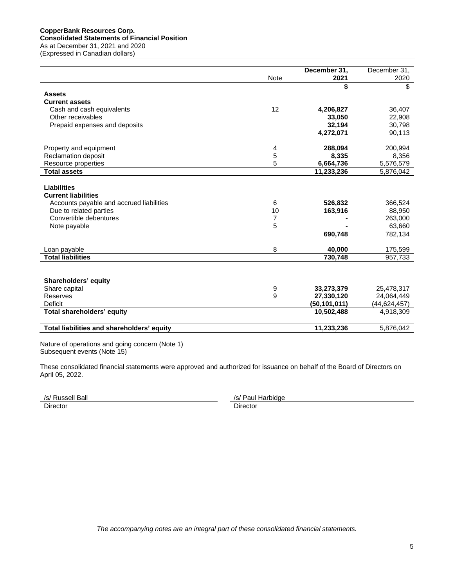## **CopperBank Resources Corp. Consolidated Statements of Financial Position**

As at December 31, 2021 and 2020 (Expressed in Canadian dollars)

|                                                      |             | December 31,   | December 31,   |
|------------------------------------------------------|-------------|----------------|----------------|
|                                                      | <b>Note</b> | 2021           | 2020           |
|                                                      |             | \$             | \$             |
| <b>Assets</b>                                        |             |                |                |
| <b>Current assets</b>                                |             |                |                |
| Cash and cash equivalents                            | 12          | 4,206,827      | 36,407         |
| Other receivables                                    |             | 33,050         | 22,908         |
| Prepaid expenses and deposits                        |             | 32,194         | 30,798         |
|                                                      |             | 4,272,071      | 90,113         |
|                                                      |             | 288,094        | 200.994        |
| Property and equipment<br><b>Reclamation deposit</b> | 4<br>5      | 8,335          | 8,356          |
| Resource properties                                  | 5           | 6,664,736      | 5,576,579      |
| <b>Total assets</b>                                  |             |                |                |
|                                                      |             | 11,233,236     | 5,876,042      |
| <b>Liabilities</b>                                   |             |                |                |
| <b>Current liabilities</b>                           |             |                |                |
| Accounts payable and accrued liabilities             | 6           | 526,832        | 366,524        |
| Due to related parties                               | 10          | 163,916        | 88,950         |
| Convertible debentures                               | 7           |                | 263,000        |
| Note payable                                         | 5           |                | 63,660         |
|                                                      |             | 690,748        | 782,134        |
|                                                      |             |                |                |
| Loan payable                                         | 8           | 40,000         | 175,599        |
| <b>Total liabilities</b>                             |             | 730,748        | 957,733        |
|                                                      |             |                |                |
|                                                      |             |                |                |
| Shareholders' equity                                 |             |                |                |
| Share capital                                        | 9           | 33,273,379     | 25,478,317     |
| Reserves                                             | 9           | 27,330,120     | 24,064,449     |
| Deficit                                              |             | (50, 101, 011) | (44, 624, 457) |
| <b>Total shareholders' equity</b>                    |             | 10,502,488     | 4,918,309      |
|                                                      |             |                |                |
| Total liabilities and shareholders' equity           |             | 11,233,236     | 5,876,042      |
|                                                      |             |                |                |

Nature of operations and going concern (Note 1) Subsequent events (Note 15)

These consolidated financial statements were approved and authorized for issuance on behalf of the Board of Directors on April 05, 2022.

/s/ Russell Ball **blue and the latter of the latter of the latter of the latter of the latter of the latter of the latter of the latter of the latter of the latter of the latter of the latter of the latter of the latter of** Director Director Director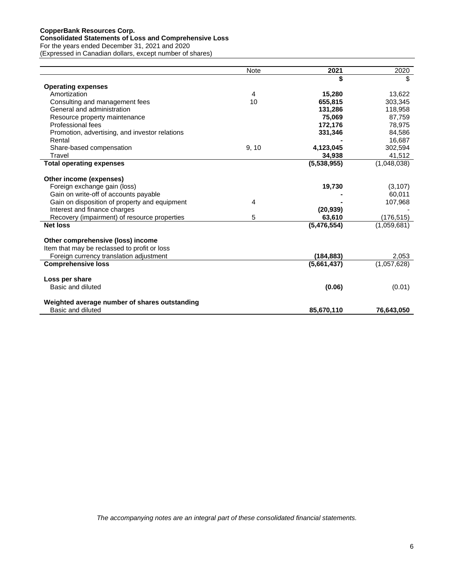## **CopperBank Resources Corp. Consolidated Statements of Loss and Comprehensive Loss**

For the years ended December 31, 2021 and 2020 (Expressed in Canadian dollars, except number of shares)

|                                                | <b>Note</b> | 2021        | 2020        |
|------------------------------------------------|-------------|-------------|-------------|
|                                                |             | \$          | \$          |
| <b>Operating expenses</b>                      |             |             |             |
| Amortization                                   | 4           | 15,280      | 13,622      |
| Consulting and management fees                 | 10          | 655,815     | 303,345     |
| General and administration                     |             | 131,286     | 118,958     |
| Resource property maintenance                  |             | 75,069      | 87,759      |
| Professional fees                              |             | 172,176     | 78,975      |
| Promotion, advertising, and investor relations |             | 331,346     | 84,586      |
| Rental                                         |             |             | 16,687      |
| Share-based compensation                       | 9, 10       | 4,123,045   | 302,594     |
| Travel                                         |             | 34,938      | 41,512      |
| <b>Total operating expenses</b>                |             | (5,538,955) | (1,048,038) |
|                                                |             |             |             |
| Other income (expenses)                        |             |             |             |
| Foreign exchange gain (loss)                   |             | 19,730      | (3, 107)    |
| Gain on write-off of accounts payable          |             |             | 60,011      |
| Gain on disposition of property and equipment  | 4           |             | 107,968     |
| Interest and finance charges                   |             | (20, 939)   |             |
| Recovery (impairment) of resource properties   | 5           | 63,610      | (176, 515)  |
| <b>Net loss</b>                                |             | (5,476,554) | (1,059,681) |
|                                                |             |             |             |
| Other comprehensive (loss) income              |             |             |             |
| Item that may be reclassed to profit or loss   |             |             |             |
| Foreign currency translation adjustment        |             | (184, 883)  | 2,053       |
| <b>Comprehensive loss</b>                      |             | (5,661,437) | (1,057,628) |
|                                                |             |             |             |
| Loss per share                                 |             |             |             |
| Basic and diluted                              |             | (0.06)      | (0.01)      |
| Weighted average number of shares outstanding  |             |             |             |
| Basic and diluted                              |             | 85,670,110  | 76,643,050  |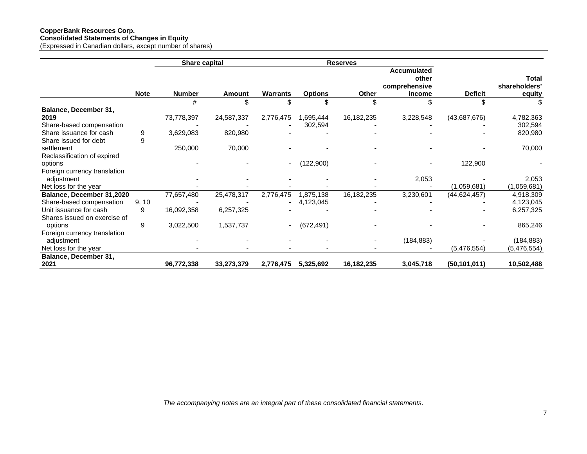## **CopperBank Resources Corp. Consolidated Statements of Changes in Equity**

(Expressed in Canadian dollars, except number of shares)

|                                            |             | Share capital |            |                 |                | <b>Reserves</b> |                                                        |                |                                         |
|--------------------------------------------|-------------|---------------|------------|-----------------|----------------|-----------------|--------------------------------------------------------|----------------|-----------------------------------------|
|                                            | <b>Note</b> | <b>Number</b> | Amount     | <b>Warrants</b> | <b>Options</b> | Other           | <b>Accumulated</b><br>other<br>comprehensive<br>income | <b>Deficit</b> | <b>Total</b><br>shareholders'<br>equity |
|                                            |             | #             | \$         | \$              | \$             | ß.              |                                                        | \$             |                                         |
| Balance, December 31,                      |             |               |            |                 |                |                 |                                                        |                |                                         |
| 2019                                       |             | 73,778,397    | 24,587,337 | 2,776,475       | 1,695,444      | 16,182,235      | 3,228,548                                              | (43,687,676)   | 4,782,363                               |
| Share-based compensation                   |             |               |            |                 | 302,594        |                 |                                                        |                | 302,594                                 |
| Share issuance for cash                    | 9           | 3,629,083     | 820,980    |                 |                |                 |                                                        |                | 820,980                                 |
| Share issued for debt<br>settlement        | 9           | 250,000       | 70,000     |                 |                |                 |                                                        |                | 70,000                                  |
| Reclassification of expired                |             |               |            |                 |                |                 |                                                        |                |                                         |
| options                                    |             |               |            |                 | (122,900)      |                 |                                                        | 122,900        |                                         |
| Foreign currency translation<br>adjustment |             |               |            |                 |                |                 | 2,053                                                  |                | 2,053                                   |
| Net loss for the year                      |             |               |            |                 |                |                 |                                                        | (1,059,681)    | (1,059,681)                             |
| Balance, December 31,2020                  |             | 77,657,480    | 25,478,317 | 2,776,475       | 1,875,138      | 16,182,235      | 3,230,601                                              | (44, 624, 457) | 4,918,309                               |
| Share-based compensation                   | 9, 10       |               |            |                 | 4,123,045      |                 |                                                        |                | 4,123,045                               |
| Unit issuance for cash                     | 9           | 16,092,358    | 6,257,325  |                 |                |                 |                                                        |                | 6,257,325                               |
| Shares issued on exercise of               |             |               |            |                 |                |                 |                                                        |                |                                         |
| options                                    | 9           | 3,022,500     | 1,537,737  |                 | (672, 491)     |                 |                                                        |                | 865,246                                 |
| Foreign currency translation               |             |               |            |                 |                |                 |                                                        |                |                                         |
| adjustment                                 |             |               |            |                 |                |                 | (184, 883)                                             |                | (184, 883)                              |
| Net loss for the year                      |             |               |            |                 |                |                 |                                                        | (5,476,554)    | (5,476,554)                             |
| Balance, December 31,<br>2021              |             | 96,772,338    | 33,273,379 | 2,776,475       | 5,325,692      | 16,182,235      | 3,045,718                                              | (50, 101, 011) | 10,502,488                              |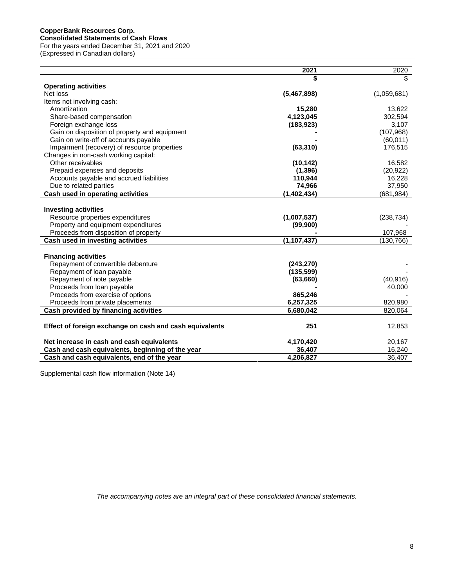## **CopperBank Resources Corp. Consolidated Statements of Cash Flows**

For the years ended December 31, 2021 and 2020

(Expressed in Canadian dollars)

|                                                         | 2021          | 2020        |
|---------------------------------------------------------|---------------|-------------|
|                                                         | \$            |             |
| <b>Operating activities</b>                             |               |             |
| Net loss                                                | (5,467,898)   | (1,059,681) |
| Items not involving cash:                               |               |             |
| Amortization                                            | 15,280        | 13,622      |
| Share-based compensation                                | 4,123,045     | 302,594     |
| Foreign exchange loss                                   | (183, 923)    | 3,107       |
| Gain on disposition of property and equipment           |               | (107, 968)  |
| Gain on write-off of accounts payable                   |               | (60, 011)   |
| Impairment (recovery) of resource properties            | (63, 310)     | 176,515     |
| Changes in non-cash working capital:                    |               |             |
| Other receivables                                       | (10, 142)     | 16,582      |
| Prepaid expenses and deposits                           | (1, 396)      | (20, 922)   |
| Accounts payable and accrued liabilities                | 110,944       | 16,228      |
| Due to related parties                                  | 74,966        | 37,950      |
| Cash used in operating activities                       | (1,402,434)   | (681, 984)  |
|                                                         |               |             |
| <b>Investing activities</b>                             |               |             |
| Resource properties expenditures                        | (1,007,537)   | (238, 734)  |
| Property and equipment expenditures                     | (99, 900)     |             |
| Proceeds from disposition of property                   |               | 107,968     |
| Cash used in investing activities                       | (1, 107, 437) | (130, 766)  |
|                                                         |               |             |
| <b>Financing activities</b>                             |               |             |
| Repayment of convertible debenture                      | (243, 270)    |             |
| Repayment of loan payable                               | (135, 599)    |             |
| Repayment of note payable                               | (63,660)      | (40, 916)   |
| Proceeds from loan payable                              |               | 40,000      |
| Proceeds from exercise of options                       | 865,246       |             |
| Proceeds from private placements                        | 6,257,325     | 820,980     |
| Cash provided by financing activities                   | 6,680,042     | 820,064     |
|                                                         |               |             |
| Effect of foreign exchange on cash and cash equivalents | 251           | 12,853      |
| Net increase in cash and cash equivalents               | 4,170,420     | 20,167      |
| Cash and cash equivalents, beginning of the year        | 36,407        | 16,240      |
| Cash and cash equivalents, end of the year              | 4,206,827     | 36,407      |

Supplemental cash flow information (Note 14)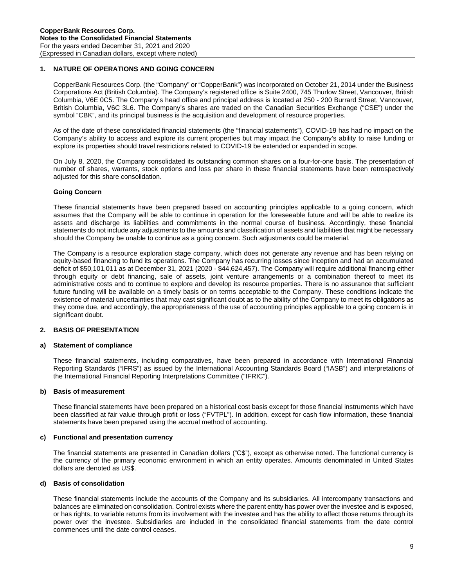## **1. NATURE OF OPERATIONS AND GOING CONCERN**

CopperBank Resources Corp. (the "Company" or "CopperBank") was incorporated on October 21, 2014 under the Business Corporations Act (British Columbia). The Company's registered office is Suite 2400, 745 Thurlow Street, Vancouver, British Columbia, V6E 0C5. The Company's head office and principal address is located at 250 - 200 Burrard Street, Vancouver, British Columbia, V6C 3L6. The Company's shares are traded on the Canadian Securities Exchange ("CSE") under the symbol "CBK", and its principal business is the acquisition and development of resource properties.

As of the date of these consolidated financial statements (the "financial statements"), COVID-19 has had no impact on the Company's ability to access and explore its current properties but may impact the Company's ability to raise funding or explore its properties should travel restrictions related to COVID-19 be extended or expanded in scope.

On July 8, 2020, the Company consolidated its outstanding common shares on a four-for-one basis. The presentation of number of shares, warrants, stock options and loss per share in these financial statements have been retrospectively adiusted for this share consolidation.

#### **Going Concern**

These financial statements have been prepared based on accounting principles applicable to a going concern, which assumes that the Company will be able to continue in operation for the foreseeable future and will be able to realize its assets and discharge its liabilities and commitments in the normal course of business. Accordingly, these financial statements do not include any adjustments to the amounts and classification of assets and liabilities that might be necessary should the Company be unable to continue as a going concern. Such adjustments could be material.

The Company is a resource exploration stage company, which does not generate any revenue and has been relying on equity-based financing to fund its operations. The Company has recurring losses since inception and had an accumulated deficit of \$50,101,011 as at December 31, 2021 (2020 - \$44,624,457). The Company will require additional financing either through equity or debt financing, sale of assets, joint venture arrangements or a combination thereof to meet its administrative costs and to continue to explore and develop its resource properties. There is no assurance that sufficient future funding will be available on a timely basis or on terms acceptable to the Company. These conditions indicate the existence of material uncertainties that may cast significant doubt as to the ability of the Company to meet its obligations as they come due, and accordingly, the appropriateness of the use of accounting principles applicable to a going concern is in significant doubt.

## **2. BASIS OF PRESENTATION**

#### **a) Statement of compliance**

These financial statements, including comparatives, have been prepared in accordance with International Financial Reporting Standards ("IFRS") as issued by the International Accounting Standards Board ("IASB") and interpretations of the International Financial Reporting Interpretations Committee ("IFRIC").

#### **b) Basis of measurement**

These financial statements have been prepared on a historical cost basis except for those financial instruments which have been classified at fair value through profit or loss ("FVTPL"). In addition, except for cash flow information, these financial statements have been prepared using the accrual method of accounting.

#### **c) Functional and presentation currency**

The financial statements are presented in Canadian dollars ("C\$"), except as otherwise noted. The functional currency is the currency of the primary economic environment in which an entity operates. Amounts denominated in United States dollars are denoted as US\$.

#### **d) Basis of consolidation**

These financial statements include the accounts of the Company and its subsidiaries. All intercompany transactions and balances are eliminated on consolidation. Control exists where the parent entity has power over the investee and is exposed, or has rights, to variable returns from its involvement with the investee and has the ability to affect those returns through its power over the investee. Subsidiaries are included in the consolidated financial statements from the date control commences until the date control ceases.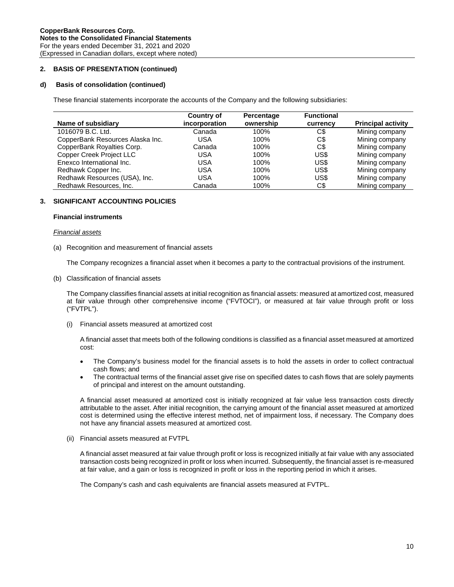## **2. BASIS OF PRESENTATION (continued)**

#### **d) Basis of consolidation (continued)**

These financial statements incorporate the accounts of the Company and the following subsidiaries:

| Name of subsidiary               | Country of<br>incorporation | Percentage<br>ownership | <b>Functional</b><br>currency | <b>Principal activity</b> |
|----------------------------------|-----------------------------|-------------------------|-------------------------------|---------------------------|
| 1016079 B.C. Ltd.                | Canada                      | 100%                    | C\$                           | Mining company            |
| CopperBank Resources Alaska Inc. | USA                         | 100%                    | C\$                           | Mining company            |
| CopperBank Royalties Corp.       | Canada                      | 100%                    | C\$                           | Mining company            |
| Copper Creek Project LLC         | USA                         | 100%                    | US\$                          | Mining company            |
| Enexco International Inc.        | USA                         | 100%                    | US\$                          | Mining company            |
| Redhawk Copper Inc.              | USA                         | 100%                    | US\$                          | Mining company            |
| Redhawk Resources (USA), Inc.    | USA                         | 100%                    | US\$                          | Mining company            |
| Redhawk Resources, Inc.          | Canada                      | 100%                    | C\$                           | Mining company            |

#### **3. SIGNIFICANT ACCOUNTING POLICIES**

#### **Financial instruments**

#### *Financial assets*

(a) Recognition and measurement of financial assets

The Company recognizes a financial asset when it becomes a party to the contractual provisions of the instrument.

(b) Classification of financial assets

The Company classifies financial assets at initial recognition as financial assets: measured at amortized cost, measured at fair value through other comprehensive income ("FVTOCI"), or measured at fair value through profit or loss ("FVTPL").

(i) Financial assets measured at amortized cost

A financial asset that meets both of the following conditions is classified as a financial asset measured at amortized cost:

- The Company's business model for the financial assets is to hold the assets in order to collect contractual cash flows; and
- The contractual terms of the financial asset give rise on specified dates to cash flows that are solely payments of principal and interest on the amount outstanding.

A financial asset measured at amortized cost is initially recognized at fair value less transaction costs directly attributable to the asset. After initial recognition, the carrying amount of the financial asset measured at amortized cost is determined using the effective interest method, net of impairment loss, if necessary. The Company does not have any financial assets measured at amortized cost.

(ii) Financial assets measured at FVTPL

A financial asset measured at fair value through profit or loss is recognized initially at fair value with any associated transaction costs being recognized in profit or loss when incurred. Subsequently, the financial asset is re-measured at fair value, and a gain or loss is recognized in profit or loss in the reporting period in which it arises.

The Company's cash and cash equivalents are financial assets measured at FVTPL.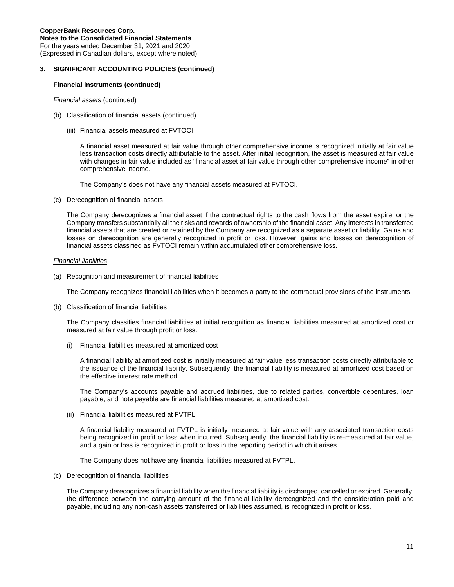#### **Financial instruments (continued)**

*Financial assets* (continued)

- (b) Classification of financial assets (continued)
	- (iii) Financial assets measured at FVTOCI

A financial asset measured at fair value through other comprehensive income is recognized initially at fair value less transaction costs directly attributable to the asset. After initial recognition, the asset is measured at fair value with changes in fair value included as "financial asset at fair value through other comprehensive income" in other comprehensive income.

The Company's does not have any financial assets measured at FVTOCI.

(c) Derecognition of financial assets

The Company derecognizes a financial asset if the contractual rights to the cash flows from the asset expire, or the Company transfers substantially all the risks and rewards of ownership of the financial asset. Any interests in transferred financial assets that are created or retained by the Company are recognized as a separate asset or liability. Gains and losses on derecognition are generally recognized in profit or loss. However, gains and losses on derecognition of financial assets classified as FVTOCI remain within accumulated other comprehensive loss.

#### *Financial liabilities*

(a) Recognition and measurement of financial liabilities

The Company recognizes financial liabilities when it becomes a party to the contractual provisions of the instruments.

(b) Classification of financial liabilities

The Company classifies financial liabilities at initial recognition as financial liabilities measured at amortized cost or measured at fair value through profit or loss.

(i) Financial liabilities measured at amortized cost

A financial liability at amortized cost is initially measured at fair value less transaction costs directly attributable to the issuance of the financial liability. Subsequently, the financial liability is measured at amortized cost based on the effective interest rate method.

The Company's accounts payable and accrued liabilities, due to related parties, convertible debentures, loan payable, and note payable are financial liabilities measured at amortized cost.

(ii) Financial liabilities measured at FVTPL

A financial liability measured at FVTPL is initially measured at fair value with any associated transaction costs being recognized in profit or loss when incurred. Subsequently, the financial liability is re-measured at fair value, and a gain or loss is recognized in profit or loss in the reporting period in which it arises.

The Company does not have any financial liabilities measured at FVTPL.

(c) Derecognition of financial liabilities

The Company derecognizes a financial liability when the financial liability is discharged, cancelled or expired. Generally, the difference between the carrying amount of the financial liability derecognized and the consideration paid and payable, including any non-cash assets transferred or liabilities assumed, is recognized in profit or loss.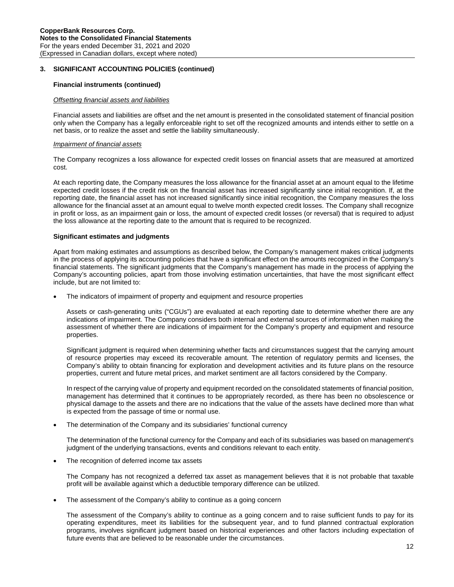#### **Financial instruments (continued)**

#### *Offsetting financial assets and liabilities*

Financial assets and liabilities are offset and the net amount is presented in the consolidated statement of financial position only when the Company has a legally enforceable right to set off the recognized amounts and intends either to settle on a net basis, or to realize the asset and settle the liability simultaneously.

#### *Impairment of financial assets*

The Company recognizes a loss allowance for expected credit losses on financial assets that are measured at amortized cost.

At each reporting date, the Company measures the loss allowance for the financial asset at an amount equal to the lifetime expected credit losses if the credit risk on the financial asset has increased significantly since initial recognition. If, at the reporting date, the financial asset has not increased significantly since initial recognition, the Company measures the loss allowance for the financial asset at an amount equal to twelve month expected credit losses. The Company shall recognize in profit or loss, as an impairment gain or loss, the amount of expected credit losses (or reversal) that is required to adjust the loss allowance at the reporting date to the amount that is required to be recognized.

#### **Significant estimates and judgments**

Apart from making estimates and assumptions as described below, the Company's management makes critical judgments in the process of applying its accounting policies that have a significant effect on the amounts recognized in the Company's financial statements. The significant judgments that the Company's management has made in the process of applying the Company's accounting policies, apart from those involving estimation uncertainties, that have the most significant effect include, but are not limited to:

The indicators of impairment of property and equipment and resource properties

Assets or cash-generating units ("CGUs") are evaluated at each reporting date to determine whether there are any indications of impairment. The Company considers both internal and external sources of information when making the assessment of whether there are indications of impairment for the Company's property and equipment and resource properties.

Significant judgment is required when determining whether facts and circumstances suggest that the carrying amount of resource properties may exceed its recoverable amount. The retention of regulatory permits and licenses, the Company's ability to obtain financing for exploration and development activities and its future plans on the resource properties, current and future metal prices, and market sentiment are all factors considered by the Company.

In respect of the carrying value of property and equipment recorded on the consolidated statements of financial position, management has determined that it continues to be appropriately recorded, as there has been no obsolescence or physical damage to the assets and there are no indications that the value of the assets have declined more than what is expected from the passage of time or normal use.

The determination of the Company and its subsidiaries' functional currency

The determination of the functional currency for the Company and each of its subsidiaries was based on management's judgment of the underlying transactions, events and conditions relevant to each entity.

The recognition of deferred income tax assets

The Company has not recognized a deferred tax asset as management believes that it is not probable that taxable profit will be available against which a deductible temporary difference can be utilized.

The assessment of the Company's ability to continue as a going concern

The assessment of the Company's ability to continue as a going concern and to raise sufficient funds to pay for its operating expenditures, meet its liabilities for the subsequent year, and to fund planned contractual exploration programs, involves significant judgment based on historical experiences and other factors including expectation of future events that are believed to be reasonable under the circumstances.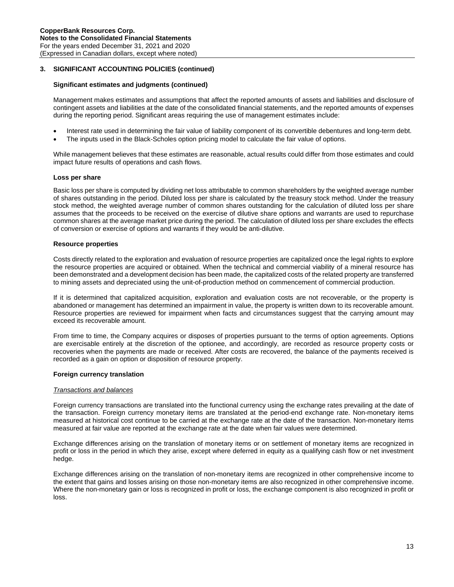### **Significant estimates and judgments (continued)**

Management makes estimates and assumptions that affect the reported amounts of assets and liabilities and disclosure of contingent assets and liabilities at the date of the consolidated financial statements, and the reported amounts of expenses during the reporting period. Significant areas requiring the use of management estimates include:

- Interest rate used in determining the fair value of liability component of its convertible debentures and long-term debt.
- The inputs used in the Black-Scholes option pricing model to calculate the fair value of options.

While management believes that these estimates are reasonable, actual results could differ from those estimates and could impact future results of operations and cash flows.

#### **Loss per share**

Basic loss per share is computed by dividing net loss attributable to common shareholders by the weighted average number of shares outstanding in the period. Diluted loss per share is calculated by the treasury stock method. Under the treasury stock method, the weighted average number of common shares outstanding for the calculation of diluted loss per share assumes that the proceeds to be received on the exercise of dilutive share options and warrants are used to repurchase common shares at the average market price during the period. The calculation of diluted loss per share excludes the effects of conversion or exercise of options and warrants if they would be anti-dilutive.

#### **Resource properties**

Costs directly related to the exploration and evaluation of resource properties are capitalized once the legal rights to explore the resource properties are acquired or obtained. When the technical and commercial viability of a mineral resource has been demonstrated and a development decision has been made, the capitalized costs of the related property are transferred to mining assets and depreciated using the unit-of-production method on commencement of commercial production.

If it is determined that capitalized acquisition, exploration and evaluation costs are not recoverable, or the property is abandoned or management has determined an impairment in value, the property is written down to its recoverable amount. Resource properties are reviewed for impairment when facts and circumstances suggest that the carrying amount may exceed its recoverable amount.

From time to time, the Company acquires or disposes of properties pursuant to the terms of option agreements. Options are exercisable entirely at the discretion of the optionee, and accordingly, are recorded as resource property costs or recoveries when the payments are made or received. After costs are recovered, the balance of the payments received is recorded as a gain on option or disposition of resource property.

#### **Foreign currency translation**

#### *Transactions and balances*

Foreign currency transactions are translated into the functional currency using the exchange rates prevailing at the date of the transaction. Foreign currency monetary items are translated at the period-end exchange rate. Non-monetary items measured at historical cost continue to be carried at the exchange rate at the date of the transaction. Non-monetary items measured at fair value are reported at the exchange rate at the date when fair values were determined.

Exchange differences arising on the translation of monetary items or on settlement of monetary items are recognized in profit or loss in the period in which they arise, except where deferred in equity as a qualifying cash flow or net investment hedge.

Exchange differences arising on the translation of non-monetary items are recognized in other comprehensive income to the extent that gains and losses arising on those non-monetary items are also recognized in other comprehensive income. Where the non-monetary gain or loss is recognized in profit or loss, the exchange component is also recognized in profit or loss.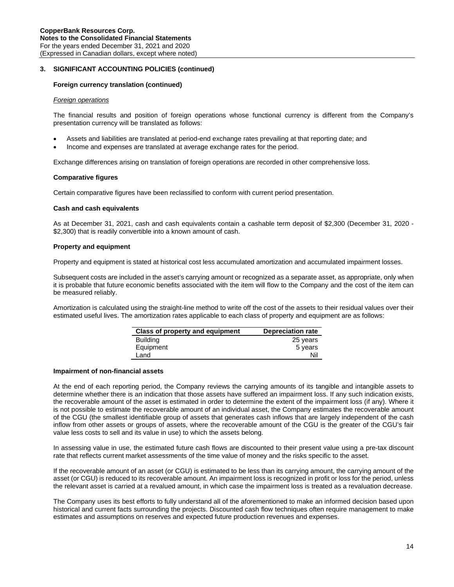### **Foreign currency translation (continued)**

#### *Foreign operations*

The financial results and position of foreign operations whose functional currency is different from the Company's presentation currency will be translated as follows:

- Assets and liabilities are translated at period-end exchange rates prevailing at that reporting date; and
- Income and expenses are translated at average exchange rates for the period.

Exchange differences arising on translation of foreign operations are recorded in other comprehensive loss.

#### **Comparative figures**

Certain comparative figures have been reclassified to conform with current period presentation.

#### **Cash and cash equivalents**

As at December 31, 2021, cash and cash equivalents contain a cashable term deposit of \$2,300 (December 31, 2020 - \$2,300) that is readily convertible into a known amount of cash.

#### **Property and equipment**

Property and equipment is stated at historical cost less accumulated amortization and accumulated impairment losses.

Subsequent costs are included in the asset's carrying amount or recognized as a separate asset, as appropriate, only when it is probable that future economic benefits associated with the item will flow to the Company and the cost of the item can be measured reliably.

Amortization is calculated using the straight-line method to write off the cost of the assets to their residual values over their estimated useful lives. The amortization rates applicable to each class of property and equipment are as follows:

| Class of property and equipment | <b>Depreciation rate</b> |
|---------------------------------|--------------------------|
| <b>Building</b>                 | 25 years                 |
| Equipment                       | 5 years                  |
| Land                            | Nil                      |

#### **Impairment of non-financial assets**

At the end of each reporting period, the Company reviews the carrying amounts of its tangible and intangible assets to determine whether there is an indication that those assets have suffered an impairment loss. If any such indication exists, the recoverable amount of the asset is estimated in order to determine the extent of the impairment loss (if any). Where it is not possible to estimate the recoverable amount of an individual asset, the Company estimates the recoverable amount of the CGU (the smallest identifiable group of assets that generates cash inflows that are largely independent of the cash inflow from other assets or groups of assets, where the recoverable amount of the CGU is the greater of the CGU's fair value less costs to sell and its value in use) to which the assets belong.

In assessing value in use, the estimated future cash flows are discounted to their present value using a pre-tax discount rate that reflects current market assessments of the time value of money and the risks specific to the asset.

If the recoverable amount of an asset (or CGU) is estimated to be less than its carrying amount, the carrying amount of the asset (or CGU) is reduced to its recoverable amount. An impairment loss is recognized in profit or loss for the period, unless the relevant asset is carried at a revalued amount, in which case the impairment loss is treated as a revaluation decrease.

The Company uses its best efforts to fully understand all of the aforementioned to make an informed decision based upon historical and current facts surrounding the projects. Discounted cash flow techniques often require management to make estimates and assumptions on reserves and expected future production revenues and expenses.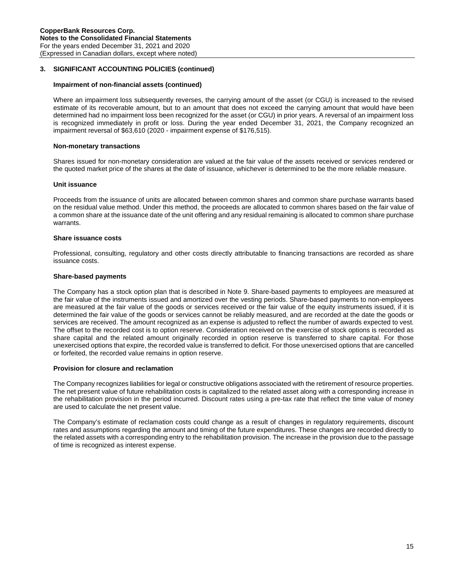#### **Impairment of non-financial assets (continued)**

Where an impairment loss subsequently reverses, the carrying amount of the asset (or CGU) is increased to the revised estimate of its recoverable amount, but to an amount that does not exceed the carrying amount that would have been determined had no impairment loss been recognized for the asset (or CGU) in prior years. A reversal of an impairment loss is recognized immediately in profit or loss. During the year ended December 31, 2021, the Company recognized an impairment reversal of \$63,610 (2020 - impairment expense of \$176,515).

#### **Non-monetary transactions**

Shares issued for non-monetary consideration are valued at the fair value of the assets received or services rendered or the quoted market price of the shares at the date of issuance, whichever is determined to be the more reliable measure.

#### **Unit issuance**

Proceeds from the issuance of units are allocated between common shares and common share purchase warrants based on the residual value method. Under this method, the proceeds are allocated to common shares based on the fair value of a common share at the issuance date of the unit offering and any residual remaining is allocated to common share purchase warrants.

#### **Share issuance costs**

Professional, consulting, regulatory and other costs directly attributable to financing transactions are recorded as share issuance costs.

#### **Share-based payments**

The Company has a stock option plan that is described in Note 9. Share-based payments to employees are measured at the fair value of the instruments issued and amortized over the vesting periods. Share-based payments to non-employees are measured at the fair value of the goods or services received or the fair value of the equity instruments issued, if it is determined the fair value of the goods or services cannot be reliably measured, and are recorded at the date the goods or services are received. The amount recognized as an expense is adjusted to reflect the number of awards expected to vest. The offset to the recorded cost is to option reserve. Consideration received on the exercise of stock options is recorded as share capital and the related amount originally recorded in option reserve is transferred to share capital. For those unexercised options that expire, the recorded value is transferred to deficit. For those unexercised options that are cancelled or forfeited, the recorded value remains in option reserve.

#### **Provision for closure and reclamation**

The Company recognizes liabilities for legal or constructive obligations associated with the retirement of resource properties. The net present value of future rehabilitation costs is capitalized to the related asset along with a corresponding increase in the rehabilitation provision in the period incurred. Discount rates using a pre-tax rate that reflect the time value of money are used to calculate the net present value.

The Company's estimate of reclamation costs could change as a result of changes in regulatory requirements, discount rates and assumptions regarding the amount and timing of the future expenditures. These changes are recorded directly to the related assets with a corresponding entry to the rehabilitation provision. The increase in the provision due to the passage of time is recognized as interest expense.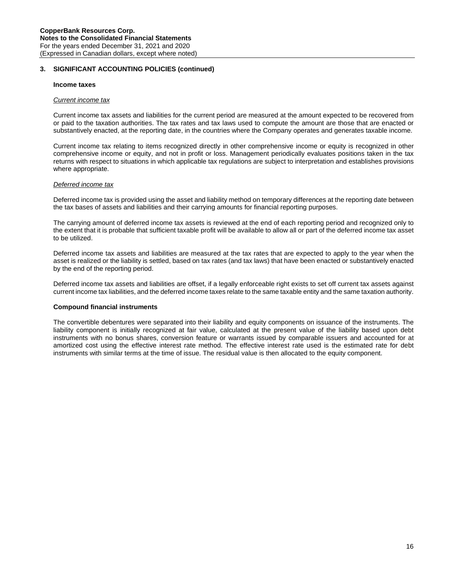#### **Income taxes**

#### *Current income tax*

Current income tax assets and liabilities for the current period are measured at the amount expected to be recovered from or paid to the taxation authorities. The tax rates and tax laws used to compute the amount are those that are enacted or substantively enacted, at the reporting date, in the countries where the Company operates and generates taxable income.

Current income tax relating to items recognized directly in other comprehensive income or equity is recognized in other comprehensive income or equity, and not in profit or loss. Management periodically evaluates positions taken in the tax returns with respect to situations in which applicable tax regulations are subject to interpretation and establishes provisions where appropriate.

#### *Deferred income tax*

Deferred income tax is provided using the asset and liability method on temporary differences at the reporting date between the tax bases of assets and liabilities and their carrying amounts for financial reporting purposes.

The carrying amount of deferred income tax assets is reviewed at the end of each reporting period and recognized only to the extent that it is probable that sufficient taxable profit will be available to allow all or part of the deferred income tax asset to be utilized.

Deferred income tax assets and liabilities are measured at the tax rates that are expected to apply to the year when the asset is realized or the liability is settled, based on tax rates (and tax laws) that have been enacted or substantively enacted by the end of the reporting period.

Deferred income tax assets and liabilities are offset, if a legally enforceable right exists to set off current tax assets against current income tax liabilities, and the deferred income taxes relate to the same taxable entity and the same taxation authority.

#### **Compound financial instruments**

The convertible debentures were separated into their liability and equity components on issuance of the instruments. The liability component is initially recognized at fair value, calculated at the present value of the liability based upon debt instruments with no bonus shares, conversion feature or warrants issued by comparable issuers and accounted for at amortized cost using the effective interest rate method. The effective interest rate used is the estimated rate for debt instruments with similar terms at the time of issue. The residual value is then allocated to the equity component.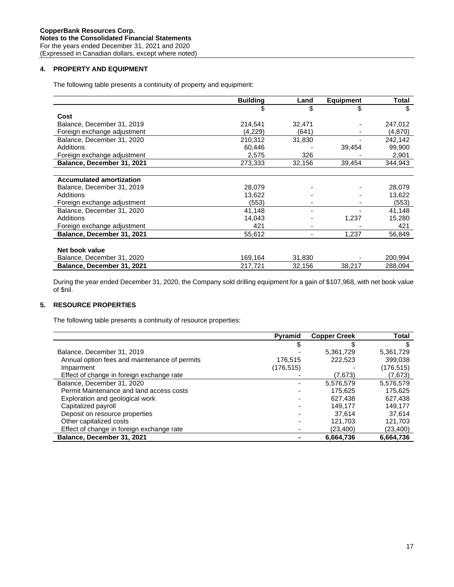## **4. PROPERTY AND EQUIPMENT**

The following table presents a continuity of property and equipment:

|                                 | <b>Building</b> | Land   | <b>Equipment</b> | Total   |
|---------------------------------|-----------------|--------|------------------|---------|
|                                 | \$              | \$     | \$               | \$      |
| Cost                            |                 |        |                  |         |
| Balance, December 31, 2019      | 214,541         | 32,471 |                  | 247,012 |
| Foreign exchange adjustment     | (4,229)         | (641)  |                  | (4,870) |
| Balance, December 31, 2020      | 210,312         | 31,830 |                  | 242,142 |
| <b>Additions</b>                | 60,446          |        | 39,454           | 99,900  |
| Foreign exchange adjustment     | 2,575           | 326    |                  | 2,901   |
| Balance, December 31, 2021      | 273,333         | 32,156 | 39,454           | 344,943 |
|                                 |                 |        |                  |         |
| <b>Accumulated amortization</b> |                 |        |                  |         |
| Balance, December 31, 2019      | 28,079          |        |                  | 28,079  |
| Additions                       | 13,622          |        |                  | 13,622  |
| Foreign exchange adjustment     | (553)           |        |                  | (553)   |
| Balance, December 31, 2020      | 41,148          |        |                  | 41,148  |
| <b>Additions</b>                | 14,043          |        | 1,237            | 15,280  |
| Foreign exchange adjustment     | 421             |        |                  | 421     |
| Balance, December 31, 2021      | 55,612          |        | 1,237            | 56,849  |
|                                 |                 |        |                  |         |
| Net book value                  |                 |        |                  |         |
| Balance, December 31, 2020      | 169,164         | 31,830 |                  | 200,994 |
| Balance, December 31, 2021      | 217,721         | 32,156 | 38,217           | 288,094 |

During the year ended December 31, 2020, the Company sold drilling equipment for a gain of \$107,968, with net book value of \$nil.

## **5. RESOURCE PROPERTIES**

The following table presents a continuity of resource properties:

|                                               | Pyramid   | <b>Copper Creek</b> | <b>Total</b> |
|-----------------------------------------------|-----------|---------------------|--------------|
|                                               |           |                     |              |
| Balance, December 31, 2019                    |           | 5,361,729           | 5,361,729    |
| Annual option fees and maintenance of permits | 176,515   | 222,523             | 399,038      |
| Impairment                                    | (176,515) |                     | (176, 515)   |
| Effect of change in foreign exchange rate     |           | (7,673)             | (7,673)      |
| Balance, December 31, 2020                    |           | 5,576,579           | 5,576,579    |
| Permit Maintenance and land access costs      |           | 175.625             | 175,625      |
| Exploration and geological work               |           | 627,438             | 627,438      |
| Capitalized payroll                           |           | 149.177             | 149.177      |
| Deposit on resource properties                |           | 37.614              | 37.614       |
| Other capitalized costs                       |           | 121.703             | 121,703      |
| Effect of change in foreign exchange rate     |           | (23, 400)           | (23, 400)    |
| Balance, December 31, 2021                    |           | 6,664,736           | 6,664,736    |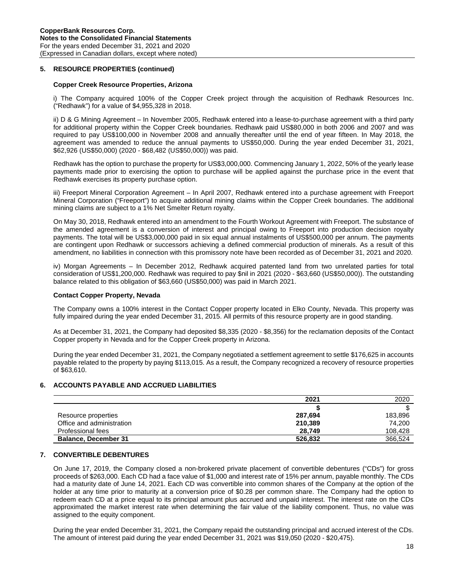## **5. RESOURCE PROPERTIES (continued)**

### **Copper Creek Resource Properties, Arizona**

i) The Company acquired 100% of the Copper Creek project through the acquisition of Redhawk Resources Inc. ("Redhawk") for a value of \$4,955,328 in 2018.

ii) D & G Mining Agreement – In November 2005, Redhawk entered into a lease-to-purchase agreement with a third party for additional property within the Copper Creek boundaries. Redhawk paid US\$80,000 in both 2006 and 2007 and was required to pay US\$100,000 in November 2008 and annually thereafter until the end of year fifteen. In May 2018, the agreement was amended to reduce the annual payments to US\$50,000. During the year ended December 31, 2021, \$62,926 (US\$50,000) (2020 - \$68,482 (US\$50,000)) was paid.

Redhawk has the option to purchase the property for US\$3,000,000. Commencing January 1, 2022, 50% of the yearly lease payments made prior to exercising the option to purchase will be applied against the purchase price in the event that Redhawk exercises its property purchase option.

iii) Freeport Mineral Corporation Agreement – In April 2007, Redhawk entered into a purchase agreement with Freeport Mineral Corporation ("Freeport") to acquire additional mining claims within the Copper Creek boundaries. The additional mining claims are subject to a 1% Net Smelter Return royalty.

On May 30, 2018, Redhawk entered into an amendment to the Fourth Workout Agreement with Freeport. The substance of the amended agreement is a conversion of interest and principal owing to Freeport into production decision royalty payments. The total will be US\$3,000,000 paid in six equal annual instalments of US\$500,000 per annum. The payments are contingent upon Redhawk or successors achieving a defined commercial production of minerals. As a result of this amendment, no liabilities in connection with this promissory note have been recorded as of December 31, 2021 and 2020.

iv) Morgan Agreements – In December 2012, Redhawk acquired patented land from two unrelated parties for total consideration of US\$1,200,000. Redhawk was required to pay \$nil in 2021 (2020 - \$63,660 (US\$50,000)). The outstanding balance related to this obligation of \$63,660 (US\$50,000) was paid in March 2021.

#### **Contact Copper Property, Nevada**

The Company owns a 100% interest in the Contact Copper property located in Elko County, Nevada. This property was fully impaired during the year ended December 31, 2015. All permits of this resource property are in good standing.

As at December 31, 2021, the Company had deposited \$8,335 (2020 - \$8,356) for the reclamation deposits of the Contact Copper property in Nevada and for the Copper Creek property in Arizona.

During the year ended December 31, 2021, the Company negotiated a settlement agreement to settle \$176,625 in accounts payable related to the property by paying \$113,015. As a result, the Company recognized a recovery of resource properties of \$63,610.

## **6. ACCOUNTS PAYABLE AND ACCRUED LIABILITIES**

|                             | 2021    | 2020    |
|-----------------------------|---------|---------|
|                             |         |         |
| Resource properties         | 287.694 | 183.896 |
| Office and administration   | 210.389 | 74.200  |
| Professional fees           | 28.749  | 108.428 |
| <b>Balance, December 31</b> | 526,832 | 366.524 |

## **7. CONVERTIBLE DEBENTURES**

On June 17, 2019, the Company closed a non-brokered private placement of convertible debentures ("CDs") for gross proceeds of \$263,000. Each CD had a face value of \$1,000 and interest rate of 15% per annum, payable monthly. The CDs had a maturity date of June 14, 2021. Each CD was convertible into common shares of the Company at the option of the holder at any time prior to maturity at a conversion price of \$0.28 per common share. The Company had the option to redeem each CD at a price equal to its principal amount plus accrued and unpaid interest. The interest rate on the CDs approximated the market interest rate when determining the fair value of the liability component. Thus, no value was assigned to the equity component.

During the year ended December 31, 2021, the Company repaid the outstanding principal and accrued interest of the CDs. The amount of interest paid during the year ended December 31, 2021 was \$19,050 (2020 - \$20,475).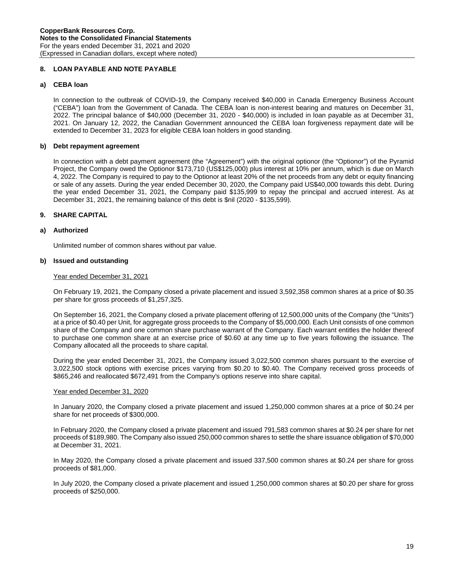## **8. LOAN PAYABLE AND NOTE PAYABLE**

### **a) CEBA loan**

In connection to the outbreak of COVID-19, the Company received \$40,000 in Canada Emergency Business Account ("CEBA") loan from the Government of Canada. The CEBA loan is non-interest bearing and matures on December 31, 2022. The principal balance of \$40,000 (December 31, 2020 - \$40,000) is included in loan payable as at December 31, 2021. On January 12, 2022, the Canadian Government announced the CEBA loan forgiveness repayment date will be extended to December 31, 2023 for eligible CEBA loan holders in good standing.

#### **b) Debt repayment agreement**

In connection with a debt payment agreement (the "Agreement") with the original optionor (the "Optionor") of the Pyramid Proiect. the Company owed the Optionor \$173,710 (US\$125,000) plus interest at 10% per annum, which is due on March 4, 2022. The Company is required to pay to the Optionor at least 20% of the net proceeds from any debt or equity financing or sale of any assets. During the year ended December 30, 2020, the Company paid US\$40,000 towards this debt. During the year ended December 31, 2021, the Company paid \$135,999 to repay the principal and accrued interest. As at December 31, 2021, the remaining balance of this debt is \$nil (2020 - \$135,599).

## **9. SHARE CAPITAL**

#### **a) Authorized**

Unlimited number of common shares without par value.

#### **b) Issued and outstanding**

#### Year ended December 31, 2021

On February 19, 2021, the Company closed a private placement and issued 3,592,358 common shares at a price of \$0.35 per share for gross proceeds of \$1,257,325.

On September 16, 2021, the Company closed a private placement offering of 12,500,000 units of the Company (the "Units") at a price of \$0.40 per Unit, for aggregate gross proceeds to the Company of \$5,000,000. Each Unit consists of one common share of the Company and one common share purchase warrant of the Company. Each warrant entitles the holder thereof to purchase one common share at an exercise price of \$0.60 at any time up to five years following the issuance. The Company allocated all the proceeds to share capital.

During the year ended December 31, 2021, the Company issued 3,022,500 common shares pursuant to the exercise of 3,022,500 stock options with exercise prices varying from \$0.20 to \$0.40. The Company received gross proceeds of \$865,246 and reallocated \$672,491 from the Company's options reserve into share capital.

#### Year ended December 31, 2020

In January 2020, the Company closed a private placement and issued 1,250,000 common shares at a price of \$0.24 per share for net proceeds of \$300,000.

In February 2020, the Company closed a private placement and issued 791,583 common shares at \$0.24 per share for net proceeds of \$189,980. The Company also issued 250,000 common shares to settle the share issuance obligation of \$70,000 at December 31, 2021.

In May 2020, the Company closed a private placement and issued 337,500 common shares at \$0.24 per share for gross proceeds of \$81,000.

In July 2020, the Company closed a private placement and issued 1,250,000 common shares at \$0.20 per share for gross proceeds of \$250,000.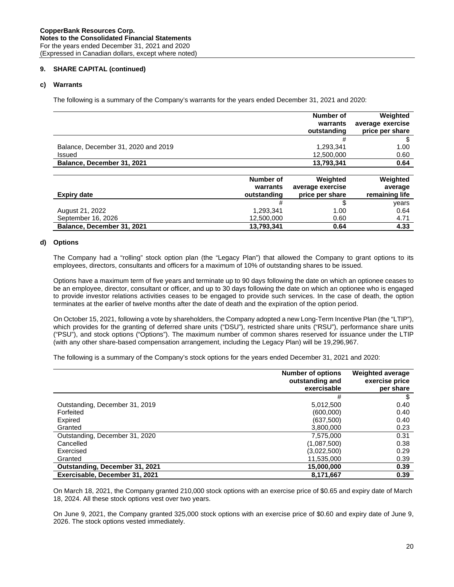## **9. SHARE CAPITAL (continued)**

### **c) Warrants**

The following is a summary of the Company's warrants for the years ended December 31, 2021 and 2020:

|                                     |             | Number of<br>warrants<br>outstanding | Weighted<br>average exercise<br>price per share |
|-------------------------------------|-------------|--------------------------------------|-------------------------------------------------|
|                                     |             | #                                    | \$                                              |
| Balance, December 31, 2020 and 2019 |             | 1,293,341                            | 1.00                                            |
| Issued                              |             | 12,500,000                           | 0.60                                            |
| Balance, December 31, 2021          |             | 13,793,341                           | 0.64                                            |
|                                     |             |                                      |                                                 |
|                                     | Number of   | Weighted                             | Weighted                                        |
|                                     | warrants    | average exercise                     | average                                         |
| <b>Expiry date</b>                  | outstanding | price per share                      | remaining life                                  |
|                                     | #           | \$                                   | years                                           |
| August 21, 2022                     | 1,293,341   | 1.00                                 | 0.64                                            |
| September 16, 2026                  | 12,500,000  | 0.60                                 | 4.71                                            |
| Balance, December 31, 2021          | 13,793,341  | 0.64                                 | 4.33                                            |

#### **d) Options**

The Company had a "rolling" stock option plan (the "Legacy Plan") that allowed the Company to grant options to its employees, directors, consultants and officers for a maximum of 10% of outstanding shares to be issued.

Options have a maximum term of five years and terminate up to 90 days following the date on which an optionee ceases to be an employee, director, consultant or officer, and up to 30 days following the date on which an optionee who is engaged to provide investor relations activities ceases to be engaged to provide such services. In the case of death, the option terminates at the earlier of twelve months after the date of death and the expiration of the option period.

On October 15, 2021, following a vote by shareholders, the Company adopted a new Long-Term Incentive Plan (the "LTIP"), which provides for the granting of deferred share units ("DSU"), restricted share units ("RSU"), performance share units ("PSU"), and stock options ("Options"). The maximum number of common shares reserved for issuance under the LTIP (with any other share-based compensation arrangement, including the Legacy Plan) will be 19,296,967.

The following is a summary of the Company's stock options for the years ended December 31, 2021 and 2020:

|                                | <b>Number of options</b><br>outstanding and<br>exercisable | <b>Weighted average</b><br>exercise price<br>per share |
|--------------------------------|------------------------------------------------------------|--------------------------------------------------------|
|                                | #                                                          | \$                                                     |
| Outstanding, December 31, 2019 | 5,012,500                                                  | 0.40                                                   |
| Forfeited                      | (600.000)                                                  | 0.40                                                   |
| Expired                        | (637, 500)                                                 | 0.40                                                   |
| Granted                        | 3,800,000                                                  | 0.23                                                   |
| Outstanding, December 31, 2020 | 7,575,000                                                  | 0.31                                                   |
| Cancelled                      | (1,087,500)                                                | 0.38                                                   |
| Exercised                      | (3,022,500)                                                | 0.29                                                   |
| Granted                        | 11,535,000                                                 | 0.39                                                   |
| Outstanding, December 31, 2021 | 15,000,000                                                 | 0.39                                                   |
| Exercisable, December 31, 2021 | 8,171,667                                                  | 0.39                                                   |

On March 18, 2021, the Company granted 210,000 stock options with an exercise price of \$0.65 and expiry date of March 18, 2024. All these stock options vest over two years.

On June 9, 2021, the Company granted 325,000 stock options with an exercise price of \$0.60 and expiry date of June 9, 2026. The stock options vested immediately.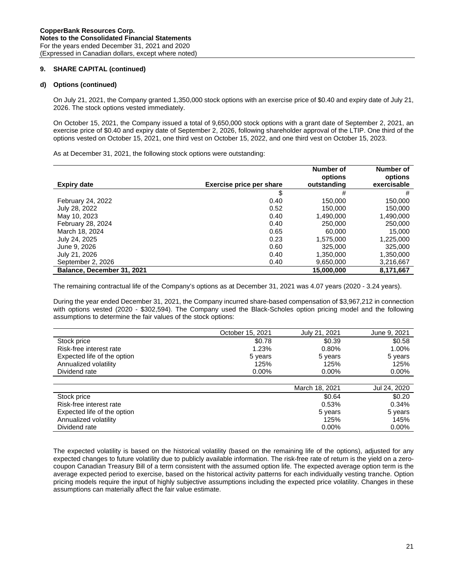## **9. SHARE CAPITAL (continued)**

### **d) Options (continued)**

On July 21, 2021, the Company granted 1,350,000 stock options with an exercise price of \$0.40 and expiry date of July 21, 2026. The stock options vested immediately.

On October 15, 2021, the Company issued a total of 9,650,000 stock options with a grant date of September 2, 2021, an exercise price of \$0.40 and expiry date of September 2, 2026, following shareholder approval of the LTIP. One third of the options vested on October 15, 2021, one third vest on October 15, 2022, and one third vest on October 15, 2023.

As at December 31, 2021, the following stock options were outstanding:

| <b>Expiry date</b>                 | Exercise price per share | Number of<br>options<br>outstanding | Number of<br>options<br>exercisable |
|------------------------------------|--------------------------|-------------------------------------|-------------------------------------|
|                                    | \$                       | #                                   | #                                   |
| February 24, 2022<br>July 28, 2022 | 0.40<br>0.52             | 150,000<br>150,000                  | 150,000<br>150.000                  |
| May 10, 2023                       | 0.40                     | 1.490.000                           | 1.490.000                           |
| February 28, 2024                  | 0.40                     | 250,000                             | 250,000                             |
| March 18, 2024                     | 0.65                     | 60,000                              | 15.000                              |
| July 24, 2025                      | 0.23                     | 1,575,000                           | 1,225,000                           |
| June 9, 2026                       | 0.60                     | 325,000                             | 325,000                             |
| July 21, 2026                      | 0.40                     | 1,350,000                           | 1,350,000                           |
| September 2, 2026                  | 0.40                     | 9.650.000                           | 3,216,667                           |
| Balance, December 31, 2021         |                          | 15,000,000                          | 8,171,667                           |

The remaining contractual life of the Company's options as at December 31, 2021 was 4.07 years (2020 - 3.24 years).

During the year ended December 31, 2021, the Company incurred share-based compensation of \$3,967,212 in connection with options vested (2020 - \$302,594). The Company used the Black-Scholes option pricing model and the following assumptions to determine the fair values of the stock options:

|                             | October 15, 2021 | July 21, 2021  | June 9, 2021 |
|-----------------------------|------------------|----------------|--------------|
| Stock price                 | \$0.78           | \$0.39         | \$0.58       |
| Risk-free interest rate     | 1.23%            | 0.80%          | 1.00%        |
| Expected life of the option | 5 years          | 5 years        | 5 years      |
| Annualized volatility       | 125%             | 125%           | 125%         |
| Dividend rate               | $0.00\%$         | $0.00\%$       | $0.00\%$     |
|                             |                  |                |              |
|                             |                  | March 18, 2021 | Jul 24, 2020 |
| Stock price                 |                  | \$0.64         | \$0.20       |
| Risk-free interest rate     |                  | 0.53%          | 0.34%        |
| Expected life of the option |                  | 5 years        | 5 years      |
| Annualized volatility       |                  | 125%           | 145%         |
| Dividend rate               |                  | $0.00\%$       | $0.00\%$     |

The expected volatility is based on the historical volatility (based on the remaining life of the options), adjusted for any expected changes to future volatility due to publicly available information. The risk-free rate of return is the yield on a zerocoupon Canadian Treasury Bill of a term consistent with the assumed option life. The expected average option term is the average expected period to exercise, based on the historical activity patterns for each individually vesting tranche. Option pricing models require the input of highly subjective assumptions including the expected price volatility. Changes in these assumptions can materially affect the fair value estimate.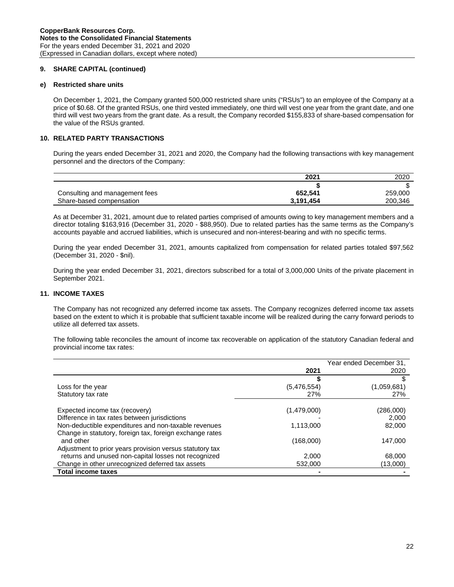## **9. SHARE CAPITAL (continued)**

#### **e) Restricted share units**

On December 1, 2021, the Company granted 500,000 restricted share units ("RSUs") to an employee of the Company at a price of \$0.68. Of the granted RSUs, one third vested immediately, one third will vest one year from the grant date, and one third will vest two years from the grant date. As a result, the Company recorded \$155,833 of share-based compensation for the value of the RSUs granted.

## **10. RELATED PARTY TRANSACTIONS**

During the years ended December 31, 2021 and 2020, the Company had the following transactions with key management personnel and the directors of the Company:

|                                | 2021      | 2020    |
|--------------------------------|-----------|---------|
|                                |           |         |
| Consulting and management fees | 652.541   | 259,000 |
| Share-based compensation       | 3.191.454 | 200.346 |

As at December 31, 2021, amount due to related parties comprised of amounts owing to key management members and a director totaling \$163,916 (December 31, 2020 - \$88,950). Due to related parties has the same terms as the Company's accounts payable and accrued liabilities, which is unsecured and non-interest-bearing and with no specific terms.

During the year ended December 31, 2021, amounts capitalized from compensation for related parties totaled \$97,562 (December 31, 2020 - \$nil).

During the year ended December 31, 2021, directors subscribed for a total of 3,000,000 Units of the private placement in September 2021.

## **11. INCOME TAXES**

The Company has not recognized any deferred income tax assets. The Company recognizes deferred income tax assets based on the extent to which it is probable that sufficient taxable income will be realized during the carry forward periods to utilize all deferred tax assets.

The following table reconciles the amount of income tax recoverable on application of the statutory Canadian federal and provincial income tax rates:

|                                                          |             | Year ended December 31, |
|----------------------------------------------------------|-------------|-------------------------|
|                                                          | 2021        | 2020                    |
|                                                          |             |                         |
| Loss for the year                                        | (5,476,554) | (1,059,681)             |
| Statutory tax rate                                       | 27%         | 27%                     |
|                                                          |             |                         |
| Expected income tax (recovery)                           | (1,479,000) | (286,000)               |
| Difference in tax rates between jurisdictions            |             | 2,000                   |
| Non-deductible expenditures and non-taxable revenues     | 1,113,000   | 82,000                  |
| Change in statutory, foreign tax, foreign exchange rates |             |                         |
| and other                                                | (168,000)   | 147,000                 |
| Adjustment to prior years provision versus statutory tax |             |                         |
| returns and unused non-capital losses not recognized     | 2.000       | 68,000                  |
| Change in other unrecognized deferred tax assets         | 532,000     | (13,000)                |
| <b>Total income taxes</b>                                |             |                         |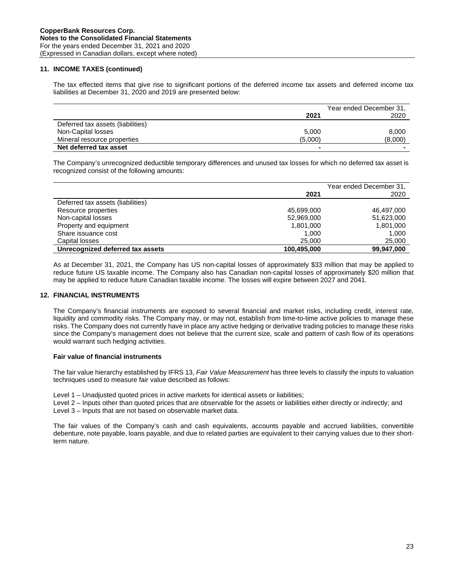## **11. INCOME TAXES (continued)**

The tax effected items that give rise to significant portions of the deferred income tax assets and deferred income tax liabilities at December 31, 2020 and 2019 are presented below:

|                                   |                | Year ended December 31, |
|-----------------------------------|----------------|-------------------------|
|                                   | 2021           | 2020                    |
| Deferred tax assets (liabilities) |                |                         |
| Non-Capital losses                | 5.000          | 8,000                   |
| Mineral resource properties       | (5,000)        | (8,000)                 |
| Net deferred tax asset            | $\blacksquare$ |                         |

The Company's unrecognized deductible temporary differences and unused tax losses for which no deferred tax asset is recognized consist of the following amounts:

|                                   |             | Year ended December 31, |
|-----------------------------------|-------------|-------------------------|
|                                   | 2021        | 2020                    |
| Deferred tax assets (liabilities) |             |                         |
| Resource properties               | 45,699,000  | 46,497,000              |
| Non-capital losses                | 52,969,000  | 51,623,000              |
| Property and equipment            | 1,801,000   | 1,801,000               |
| Share issuance cost               | 1.000       | 1.000                   |
| Capital losses                    | 25,000      | 25,000                  |
| Unrecognized deferred tax assets  | 100,495,000 | 99,947,000              |

As at December 31, 2021, the Company has US non-capital losses of approximately \$33 million that may be applied to reduce future US taxable income. The Company also has Canadian non-capital losses of approximately \$20 million that may be applied to reduce future Canadian taxable income. The losses will expire between 2027 and 2041.

## **12. FINANCIAL INSTRUMENTS**

The Company's financial instruments are exposed to several financial and market risks, including credit, interest rate, liquidity and commodity risks. The Company may, or may not, establish from time-to-time active policies to manage these risks. The Company does not currently have in place any active hedging or derivative trading policies to manage these risks since the Company's management does not believe that the current size, scale and pattern of cash flow of its operations would warrant such hedging activities.

## **Fair value of financial instruments**

The fair value hierarchy established by IFRS 13, *Fair Value Measurement* has three levels to classify the inputs to valuation techniques used to measure fair value described as follows:

Level 1 – Unadjusted quoted prices in active markets for identical assets or liabilities;

Level 2 – Inputs other than quoted prices that are observable for the assets or liabilities either directly or indirectly; and Level 3 – Inputs that are not based on observable market data.

The fair values of the Company's cash and cash equivalents, accounts payable and accrued liabilities, convertible debenture, note payable, loans payable, and due to related parties are equivalent to their carrying values due to their shortterm nature.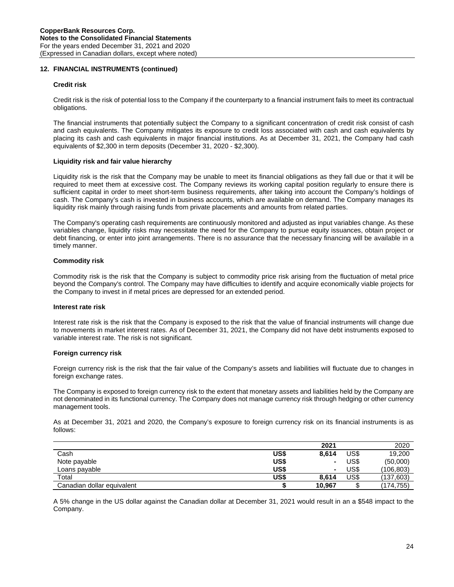## **12. FINANCIAL INSTRUMENTS (continued)**

#### **Credit risk**

Credit risk is the risk of potential loss to the Company if the counterparty to a financial instrument fails to meet its contractual obligations.

The financial instruments that potentially subject the Company to a significant concentration of credit risk consist of cash and cash equivalents. The Company mitigates its exposure to credit loss associated with cash and cash equivalents by placing its cash and cash equivalents in major financial institutions. As at December 31, 2021, the Company had cash equivalents of \$2,300 in term deposits (December 31, 2020 - \$2,300).

#### **Liquidity risk and fair value hierarchy**

Liquidity risk is the risk that the Company may be unable to meet its financial obligations as they fall due or that it will be required to meet them at excessive cost. The Company reviews its working capital position regularly to ensure there is sufficient capital in order to meet short-term business requirements, after taking into account the Company's holdings of cash. The Company's cash is invested in business accounts, which are available on demand. The Company manages its liquidity risk mainly through raising funds from private placements and amounts from related parties.

The Company's operating cash requirements are continuously monitored and adjusted as input variables change. As these variables change, liquidity risks may necessitate the need for the Company to pursue equity issuances, obtain project or debt financing, or enter into joint arrangements. There is no assurance that the necessary financing will be available in a timely manner.

#### **Commodity risk**

Commodity risk is the risk that the Company is subject to commodity price risk arising from the fluctuation of metal price beyond the Company's control. The Company may have difficulties to identify and acquire economically viable projects for the Company to invest in if metal prices are depressed for an extended period.

#### **Interest rate risk**

Interest rate risk is the risk that the Company is exposed to the risk that the value of financial instruments will change due to movements in market interest rates. As of December 31, 2021, the Company did not have debt instruments exposed to variable interest rate. The risk is not significant.

#### **Foreign currency risk**

Foreign currency risk is the risk that the fair value of the Company's assets and liabilities will fluctuate due to changes in foreign exchange rates.

The Company is exposed to foreign currency risk to the extent that monetary assets and liabilities held by the Company are not denominated in its functional currency. The Company does not manage currency risk through hedging or other currency management tools.

As at December 31, 2021 and 2020, the Company's exposure to foreign currency risk on its financial instruments is as follows:

|                            |      | 2021   |      | 2020      |
|----------------------------|------|--------|------|-----------|
| Cash                       | US\$ | 8,614  | US\$ | 19,200    |
| Note payable               | US\$ | ۰      | US\$ | (50,000)  |
| Loans payable              | US\$ | ۰      | US\$ | (106,803) |
| Total                      | US\$ | 8.614  | US\$ | (137,603) |
| Canadian dollar equivalent |      | 10.967 |      | (174,755) |

A 5% change in the US dollar against the Canadian dollar at December 31, 2021 would result in an a \$548 impact to the Company.